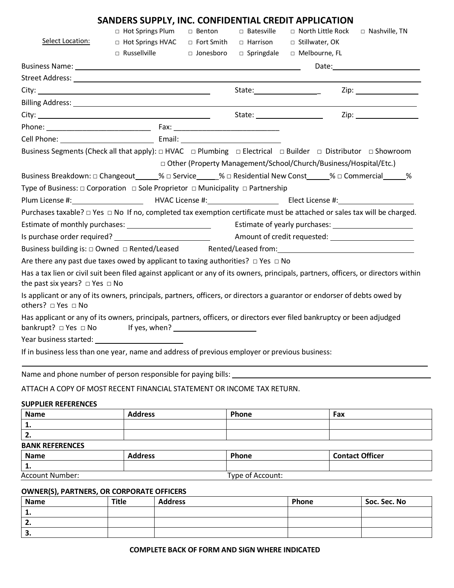|                                                                                                                                                                                 | SANDERS SUPPLY, INC. CONFIDENTIAL CREDIT APPLICATION      |          |              |                                                                    |                 |
|---------------------------------------------------------------------------------------------------------------------------------------------------------------------------------|-----------------------------------------------------------|----------|--------------|--------------------------------------------------------------------|-----------------|
|                                                                                                                                                                                 | □ Hot Springs Plum                                        | □ Benton | □ Batesville | $\Box$ North Little Rock                                           | □ Nashville, TN |
| Select Location:                                                                                                                                                                | $\Box$ Hot Springs HVAC $\Box$ Fort Smith $\Box$ Harrison |          |              | □ Stillwater, OK                                                   |                 |
|                                                                                                                                                                                 | □ Russellville □ Jonesboro                                |          | □ Springdale | □ Melbourne, FL                                                    |                 |
|                                                                                                                                                                                 |                                                           |          |              |                                                                    |                 |
|                                                                                                                                                                                 |                                                           |          |              |                                                                    |                 |
|                                                                                                                                                                                 |                                                           |          |              | State: _____________________                                       |                 |
|                                                                                                                                                                                 |                                                           |          |              |                                                                    |                 |
|                                                                                                                                                                                 |                                                           |          |              |                                                                    |                 |
|                                                                                                                                                                                 |                                                           |          |              |                                                                    |                 |
|                                                                                                                                                                                 |                                                           |          |              |                                                                    |                 |
| Business Segments (Check all that apply): $\Box$ HVAC $\Box$ Plumbing $\Box$ Electrical $\Box$ Builder $\Box$ Distributor $\Box$ Showroom                                       |                                                           |          |              |                                                                    |                 |
|                                                                                                                                                                                 |                                                           |          |              | □ Other (Property Management/School/Church/Business/Hospital/Etc.) |                 |
| Business Breakdown: □ Changeout _____% □ Service _____% □ Residential New Const _____% □ Commercial _____%                                                                      |                                                           |          |              |                                                                    |                 |
| Type of Business: $\Box$ Corporation $\Box$ Sole Proprietor $\Box$ Municipality $\Box$ Partnership                                                                              |                                                           |          |              |                                                                    |                 |
|                                                                                                                                                                                 |                                                           |          |              |                                                                    |                 |
| Purchases taxable? $\Box$ Yes $\Box$ No If no, completed tax exemption certificate must be attached or sales tax will be charged.                                               |                                                           |          |              |                                                                    |                 |
|                                                                                                                                                                                 |                                                           |          |              |                                                                    |                 |
|                                                                                                                                                                                 |                                                           |          |              |                                                                    |                 |
| Business building is: □ Owned □ Rented/Leased Rented/Leased from: National Communication of the Communication of Rented/Leased Rented/Leased from:                              |                                                           |          |              |                                                                    |                 |
| Are there any past due taxes owed by applicant to taxing authorities? $\Box$ Yes $\Box$ No                                                                                      |                                                           |          |              |                                                                    |                 |
| Has a tax lien or civil suit been filed against applicant or any of its owners, principals, partners, officers, or directors within<br>the past six years? $\Box$ Yes $\Box$ No |                                                           |          |              |                                                                    |                 |
| Is applicant or any of its owners, principals, partners, officers, or directors a guarantor or endorser of debts owed by<br>others? □ Yes □ No                                  |                                                           |          |              |                                                                    |                 |
| Has applicant or any of its owners, principals, partners, officers, or directors ever filed bankruptcy or been adjudged<br>$bankrupt? \Box Yes \Box No$ If yes, when?           |                                                           |          |              |                                                                    |                 |
| Year business started: Year business started:                                                                                                                                   |                                                           |          |              |                                                                    |                 |
| If in business less than one year, name and address of previous employer or previous business:                                                                                  |                                                           |          |              |                                                                    |                 |

Name and phone number of person responsible for paying bills:

# ATTACH A COPY OF MOST RECENT FINANCIAL STATEMENT OR INCOME TAX RETURN.

## **SUPPLIER REFERENCES**

| <b>Name</b>            | A alalugga     | <b>Dhann</b> | Cantact Offices |  |
|------------------------|----------------|--------------|-----------------|--|
| <b>BANK REFERENCES</b> |                |              |                 |  |
| z.                     |                |              |                 |  |
| . .                    |                |              |                 |  |
| <b>Name</b>            | <b>Address</b> | Phone        | Fax             |  |

### **Name Address Phone Contact Officer 1.** Account Number: Type of Account:

#### **OWNER(S), PARTNERS, OR CORPORATE OFFICERS**

| Name | Title | <b>Address</b> | Phone | Soc. Sec. No |
|------|-------|----------------|-------|--------------|
|      |       |                |       |              |
|      |       |                |       |              |
| . ۔  |       |                |       |              |